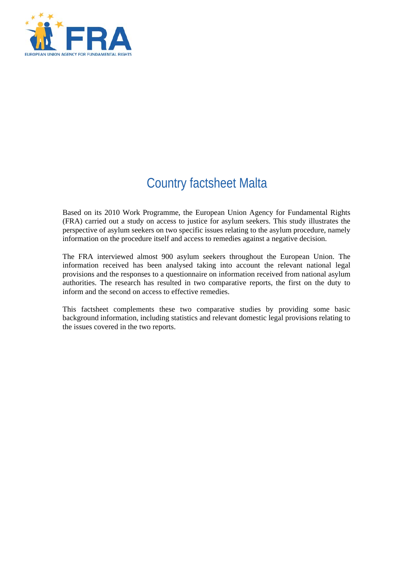

# Country factsheet Malta

Based on its 2010 Work Programme, the European Union Agency for Fundamental Rights (FRA) carried out a study on access to justice for asylum seekers. This study illustrates the perspective of asylum seekers on two specific issues relating to the asylum procedure, namely information on the procedure itself and access to remedies against a negative decision.

The FRA interviewed almost 900 asylum seekers throughout the European Union. The information received has been analysed taking into account the relevant national legal provisions and the responses to a questionnaire on information received from national asylum authorities. The research has resulted in two comparative reports, the first on the duty to inform and the second on access to effective remedies.

This factsheet complements these two comparative studies by providing some basic background information, including statistics and relevant domestic legal provisions relating to the issues covered in the two reports.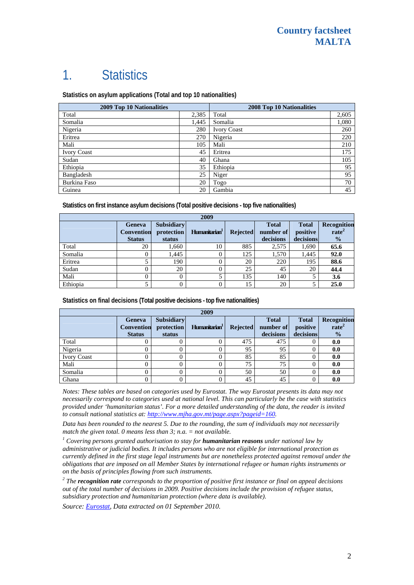## 1. Statistics

**Statistics on asylum applications (Total and top 10 nationalities)**

| <b>2009 Top 10 Nationalities</b> |       | 2008 Top 10 Nationalities |       |  |
|----------------------------------|-------|---------------------------|-------|--|
| Total                            | 2,385 | Total                     | 2,605 |  |
| Somalia                          | 1,445 | Somalia                   | 1,080 |  |
| Nigeria                          | 280   | <b>Ivory Coast</b>        | 260   |  |
| Eritrea                          | 270   | Nigeria                   | 220   |  |
| Mali                             | 105   | Mali                      | 210   |  |
| <b>Ivory Coast</b>               | 45    | Eritrea                   | 175   |  |
| Sudan                            | 40    | Ghana                     | 105   |  |
| Ethiopia                         | 35    | Ethiopia                  | 95    |  |
| Bangladesh                       | 25    | Niger                     | 95    |  |
| Burkina Faso                     | 20    | Togo                      | 70    |  |
| Guinea                           | 20    | Gambia                    | 45    |  |

**Statistics on first instance asylum decisions (Total positive decisions - top five nationalities)** 

| 2009     |                                                     |                                           |                           |                 |                                        |                                       |                                                   |
|----------|-----------------------------------------------------|-------------------------------------------|---------------------------|-----------------|----------------------------------------|---------------------------------------|---------------------------------------------------|
|          | <b>Geneva</b><br><b>Convention</b><br><b>Status</b> | <b>Subsidiary</b><br>protection<br>status | Humanitarian <sup>1</sup> | <b>Rejected</b> | <b>Total</b><br>number of<br>decisions | <b>Total</b><br>positive<br>decisions | Recognition<br>rate <sup>2</sup><br>$\frac{1}{2}$ |
| Total    | 20                                                  | 1.660                                     | 10                        | 885             | 2.575                                  | 1,690                                 | 65.6                                              |
| Somalia  | 0                                                   | 1,445                                     |                           | 125             | 1,570                                  | 1,445                                 | 92.0                                              |
| Eritrea  |                                                     | 190                                       |                           | 20              | 220                                    | 195                                   | 88.6                                              |
| Sudan    | 0                                                   | 20                                        |                           | 25              | 45                                     | 20                                    | 44.4                                              |
| Mali     | 0                                                   |                                           |                           | 135             | 140                                    |                                       | 3.6                                               |
| Ethiopia |                                                     |                                           |                           | 15              | 20                                     |                                       | 25.0                                              |

**Statistics on final decisions (Total positive decisions - top five nationalities)** 

| 2009               |                                              |                                           |                           |                 |                                        |                                       |                                                   |
|--------------------|----------------------------------------------|-------------------------------------------|---------------------------|-----------------|----------------------------------------|---------------------------------------|---------------------------------------------------|
|                    | Geneva<br><b>Convention</b><br><b>Status</b> | <b>Subsidiary</b><br>protection<br>status | Humanitarian <sup>1</sup> | <b>Rejected</b> | <b>Total</b><br>number of<br>decisions | <b>Total</b><br>positive<br>decisions | Recognition<br>rate <sup>2</sup><br>$\frac{0}{2}$ |
| Total              |                                              |                                           |                           | 475             | 475                                    |                                       | 0.0                                               |
| Nigeria            | 0                                            |                                           |                           | 95              | 95                                     |                                       | 0.0                                               |
| <b>Ivory Coast</b> |                                              |                                           |                           | 85              | 85                                     |                                       | 0.0                                               |
| Mali               | 0                                            |                                           |                           | 75              | 75                                     |                                       | 0.0                                               |
| Somalia            |                                              |                                           |                           | 50              | 50                                     |                                       | 0.0                                               |
| Ghana              |                                              |                                           |                           | 45              | 45                                     |                                       | 0.0                                               |

*Notes: These tables are based on categories used by Eurostat. The way Eurostat presents its data may not necessarily correspond to categories used at national level. This can particularly be the case with statistics provided under 'humanitarian status'. For a more detailed understanding of the data, the reader is invited to consult national statistics at: [http://www.mjha.gov.mt/page.aspx?pageid=160.](http://www.mjha.gov.mt/page.aspx?pageid=160)* 

*Data has been rounded to the nearest 5. Due to the rounding, the sum of individuals may not necessarily match the given total. 0 means less than 3; n.a. = not available.* 

<sup>1</sup> Covering persons granted authorisation to stay for **humanitarian reasons** under national law by *administrative or judicial bodies. It includes persons who are not eligible for international protection as currently defined in the first stage legal instruments but are nonetheless protected against removal under the obligations that are imposed on all Member States by international refugee or human rights instruments or on the basis of principles flowing from such instruments.* 

*2 The recognition rate corresponds to the proportion of positive first instance or final on appeal decisions out of the total number of decisions in 2009. Positive decisions include the provision of refugee status, subsidiary protection and humanitarian protection (where data is available).* 

*Source: [Eurostat](http://epp.eurostat.ec.europa.eu/), Data extracted on 01 September 2010.*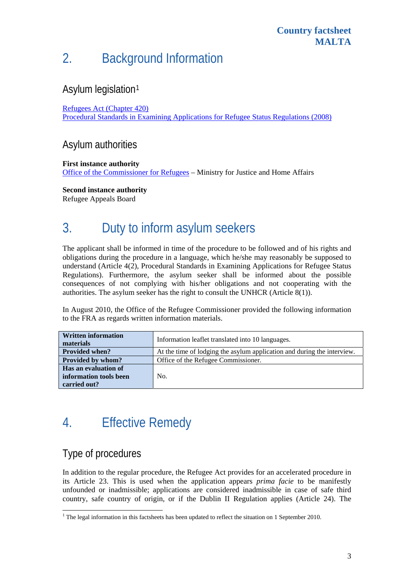# 2. Background Information

### Asylum legislation[1](#page-2-0)

#### [Refugees Act \(Chapter 420\)](http://docs.justice.gov.mt/lom/legislation/english/leg/vol_13/chapt420.pdf)

[Procedural Standards in Examining Applications for Refugee Status Regulations \(2008\)](http://docs.justice.gov.mt/lom/Legislation/English/SubLeg/420/07.pdf)

### Asylum authorities

#### **First instance authority**

[Office of the Commissioner for Refugees](http://www.mjha.gov.mt/page.aspx?pageid=160) – Ministry for Justice and Home Affairs

**Second instance authority** 

Refugee Appeals Board

# 3. Duty to inform asylum seekers

The applicant shall be informed in time of the procedure to be followed and of his rights and obligations during the procedure in a language, which he/she may reasonably be supposed to understand (Article 4(2), Procedural Standards in Examining Applications for Refugee Status Regulations). Furthermore, the asylum seeker shall be informed about the possible consequences of not complying with his/her obligations and not cooperating with the authorities. The asylum seeker has the right to consult the UNHCR (Article 8(1)).

In August 2010, the Office of the Refugee Commissioner provided the following information to the FRA as regards written information materials.

| <b>Written information</b><br>materials | Information leaflet translated into 10 languages.                       |  |  |  |  |
|-----------------------------------------|-------------------------------------------------------------------------|--|--|--|--|
| <b>Provided when?</b>                   | At the time of lodging the asylum application and during the interview. |  |  |  |  |
| Provided by whom?                       | Office of the Refugee Commissioner.                                     |  |  |  |  |
| Has an evaluation of                    |                                                                         |  |  |  |  |
| information tools been                  | No.                                                                     |  |  |  |  |
| carried out?                            |                                                                         |  |  |  |  |

## 4. Effective Remedy

### Type of procedures

In addition to the regular procedure, the Refugee Act provides for an accelerated procedure in its Article 23. This is used when the application appears *prima facie* to be manifestly unfounded or inadmissible; applications are considered inadmissible in case of safe third country, safe country of origin, or if the Dublin II Regulation applies (Article 24). The

<span id="page-2-0"></span>The legal information in this factsheets has been updated to reflect the situation on 1 September 2010.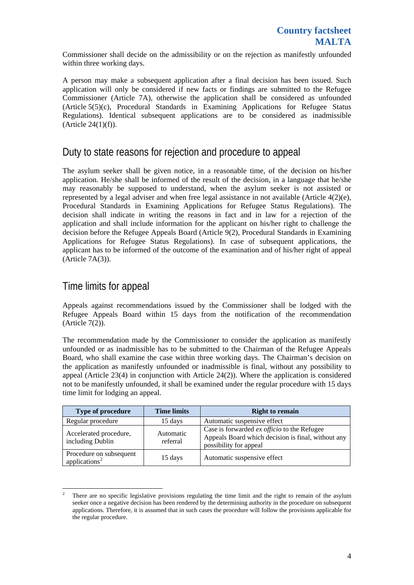Commissioner shall decide on the admissibility or on the rejection as manifestly unfounded within three working days.

A person may make a subsequent application after a final decision has been issued. Such application will only be considered if new facts or findings are submitted to the Refugee Commissioner (Article 7A), otherwise the application shall be considered as unfounded (Article 5(5)(c), Procedural Standards in Examining Applications for Refugee Status Regulations). Identical subsequent applications are to be considered as inadmissible (Article 24(1)(f)).

### Duty to state reasons for rejection and procedure to appeal

The asylum seeker shall be given notice, in a reasonable time, of the decision on his/her application. He/she shall be informed of the result of the decision, in a language that he/she may reasonably be supposed to understand, when the asylum seeker is not assisted or represented by a legal adviser and when free legal assistance in not available (Article 4(2)(e), Procedural Standards in Examining Applications for Refugee Status Regulations). The decision shall indicate in writing the reasons in fact and in law for a rejection of the application and shall include information for the applicant on his/her right to challenge the decision before the Refugee Appeals Board (Article 9(2), Procedural Standards in Examining Applications for Refugee Status Regulations). In case of subsequent applications, the applicant has to be informed of the outcome of the examination and of his/her right of appeal (Article 7A(3)).

#### Time limits for appeal

1

Appeals against recommendations issued by the Commissioner shall be lodged with the Refugee Appeals Board within 15 days from the notification of the recommendation (Article 7(2)).

The recommendation made by the Commissioner to consider the application as manifestly unfounded or as inadmissible has to be submitted to the Chairman of the Refugee Appeals Board, who shall examine the case within three working days. The Chairman's decision on the application as manifestly unfounded or inadmissible is final, without any possibility to appeal (Article 23(4) in conjunction with Article 24(2)). Where the application is considered not to be manifestly unfounded, it shall be examined under the regular procedure with 15 days time limit for lodging an appeal.

| <b>Type of procedure</b>                             | <b>Time limits</b>    | <b>Right to remain</b>                                                                                                             |
|------------------------------------------------------|-----------------------|------------------------------------------------------------------------------------------------------------------------------------|
| Regular procedure                                    | 15 days               | Automatic suspensive effect                                                                                                        |
| Accelerated procedure,<br>including Dublin           | Automatic<br>referral | Case is forwarded <i>ex officio</i> to the Refugee<br>Appeals Board which decision is final, without any<br>possibility for appeal |
| Procedure on subsequent<br>applications <sup>2</sup> | $15 \text{ days}$     | Automatic suspensive effect                                                                                                        |

<span id="page-3-0"></span><sup>2</sup> There are no specific legislative provisions regulating the time limit and the right to remain of the asylum seeker once a negative decision has been rendered by the determining authority in the procedure on subsequent applications. Therefore, it is assumed that in such cases the procedure will follow the provisions applicable for the regular procedure.